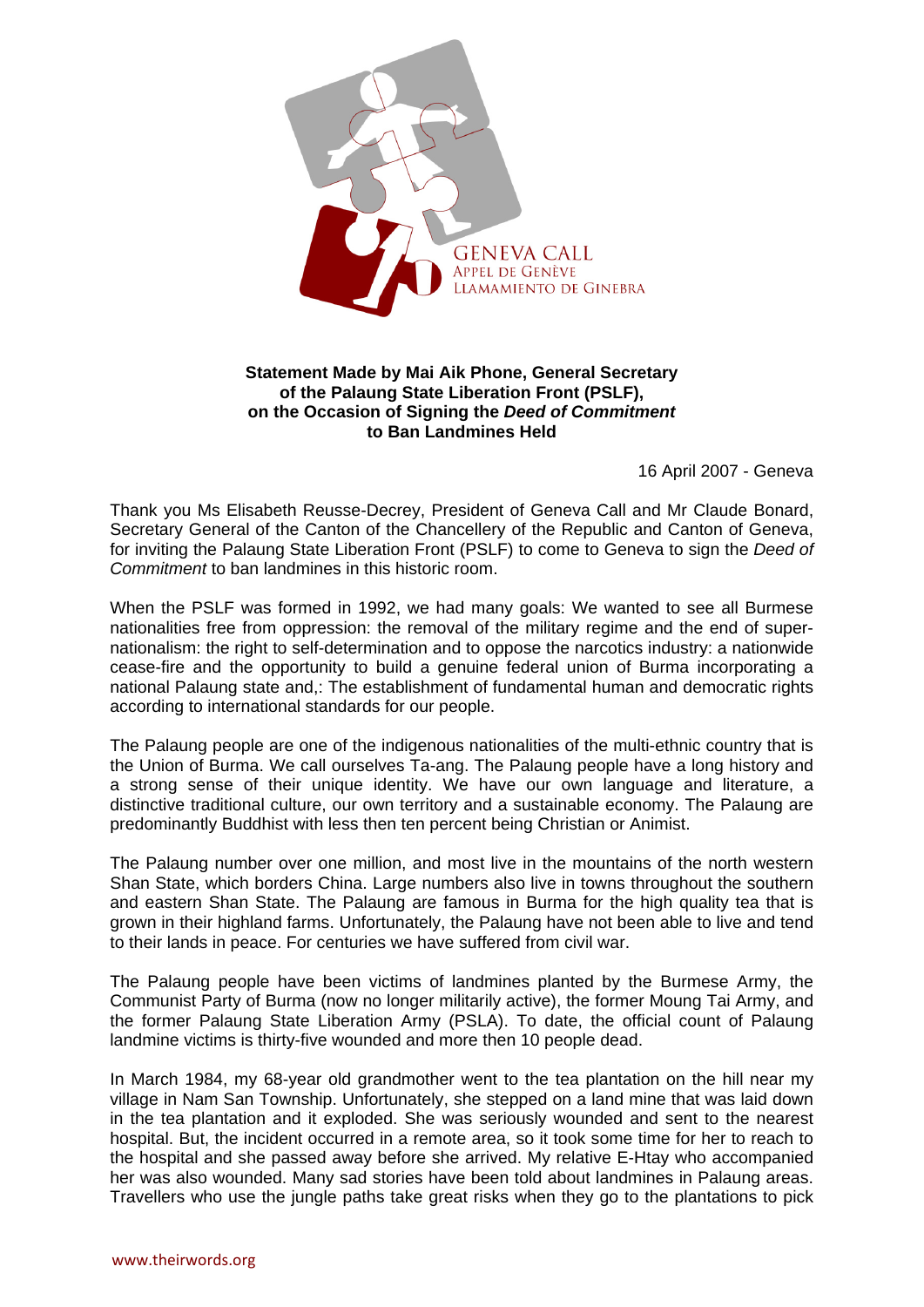

## **Statement Made by Mai Aik Phone, General Secretary of the Palaung State Liberation Front (PSLF), on the Occasion of Signing the** *Deed of Commitment* **to Ban Landmines Held**

16 April 2007 - Geneva

Thank you Ms Elisabeth Reusse-Decrey, President of Geneva Call and Mr Claude Bonard, Secretary General of the Canton of the Chancellery of the Republic and Canton of Geneva, for inviting the Palaung State Liberation Front (PSLF) to come to Geneva to sign the *Deed of Commitment* to ban landmines in this historic room.

When the PSLF was formed in 1992, we had many goals: We wanted to see all Burmese nationalities free from oppression: the removal of the military regime and the end of supernationalism: the right to self-determination and to oppose the narcotics industry: a nationwide cease-fire and the opportunity to build a genuine federal union of Burma incorporating a national Palaung state and,: The establishment of fundamental human and democratic rights according to international standards for our people.

The Palaung people are one of the indigenous nationalities of the multi-ethnic country that is the Union of Burma. We call ourselves Ta-ang. The Palaung people have a long history and a strong sense of their unique identity. We have our own language and literature, a distinctive traditional culture, our own territory and a sustainable economy. The Palaung are predominantly Buddhist with less then ten percent being Christian or Animist.

The Palaung number over one million, and most live in the mountains of the north western Shan State, which borders China. Large numbers also live in towns throughout the southern and eastern Shan State. The Palaung are famous in Burma for the high quality tea that is grown in their highland farms. Unfortunately, the Palaung have not been able to live and tend to their lands in peace. For centuries we have suffered from civil war.

The Palaung people have been victims of landmines planted by the Burmese Army, the Communist Party of Burma (now no longer militarily active), the former Moung Tai Army, and the former Palaung State Liberation Army (PSLA). To date, the official count of Palaung landmine victims is thirty-five wounded and more then 10 people dead.

In March 1984, my 68-year old grandmother went to the tea plantation on the hill near my village in Nam San Township. Unfortunately, she stepped on a land mine that was laid down in the tea plantation and it exploded. She was seriously wounded and sent to the nearest hospital. But, the incident occurred in a remote area, so it took some time for her to reach to the hospital and she passed away before she arrived. My relative E-Htay who accompanied her was also wounded. Many sad stories have been told about landmines in Palaung areas. Travellers who use the jungle paths take great risks when they go to the plantations to pick